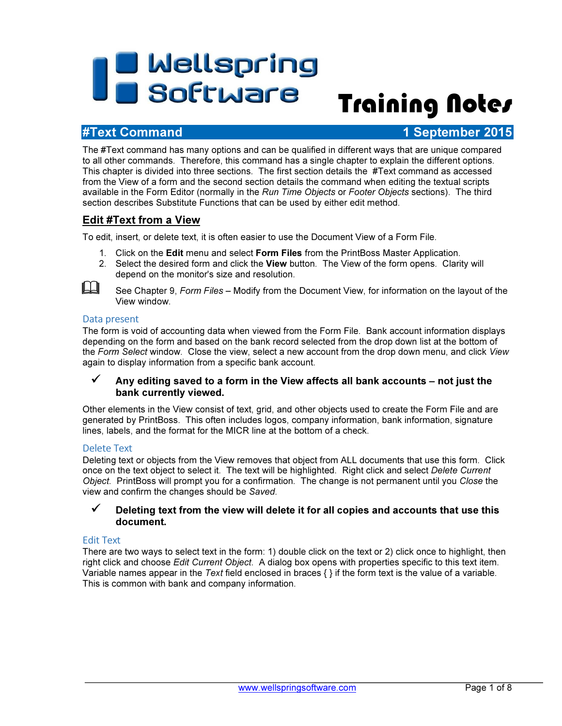# **The Mellspring<br>Training Notes**

## #Text Command 1 September 2015

The #Text command has many options and can be qualified in different ways that are unique compared to all other commands. Therefore, this command has a single chapter to explain the different options. This chapter is divided into three sections. The first section details the #Text command as accessed from the View of a form and the second section details the command when editing the textual scripts available in the Form Editor (normally in the Run Time Objects or Footer Objects sections). The third section describes Substitute Functions that can be used by either edit method.

## Edit #Text from a View

To edit, insert, or delete text, it is often easier to use the Document View of a Form File.

- 1. Click on the Edit menu and select Form Files from the PrintBoss Master Application.
- 2. Select the desired form and click the View button. The View of the form opens. Clarity will depend on the monitor's size and resolution.



See Chapter 9, Form Files – Modify from the Document View, for information on the layout of the View window.

#### Data present

The form is void of accounting data when viewed from the Form File. Bank account information displays depending on the form and based on the bank record selected from the drop down list at the bottom of the Form Select window. Close the view, select a new account from the drop down menu, and click View again to display information from a specific bank account.

#### Any editing saved to a form in the View affects all bank accounts – not just the bank currently viewed.

Other elements in the View consist of text, grid, and other objects used to create the Form File and are generated by PrintBoss. This often includes logos, company information, bank information, signature lines, labels, and the format for the MICR line at the bottom of a check.

#### Delete Text

Deleting text or objects from the View removes that object from ALL documents that use this form. Click once on the text object to select it. The text will be highlighted. Right click and select Delete Current Object. PrintBoss will prompt you for a confirmation. The change is not permanent until you Close the view and confirm the changes should be Saved.

#### $\checkmark$  Deleting text from the view will delete it for all copies and accounts that use this document.

#### Edit Text

There are two ways to select text in the form: 1) double click on the text or 2) click once to highlight, then right click and choose Edit Current Object. A dialog box opens with properties specific to this text item. Variable names appear in the Text field enclosed in braces  $\{\}$  if the form text is the value of a variable. This is common with bank and company information.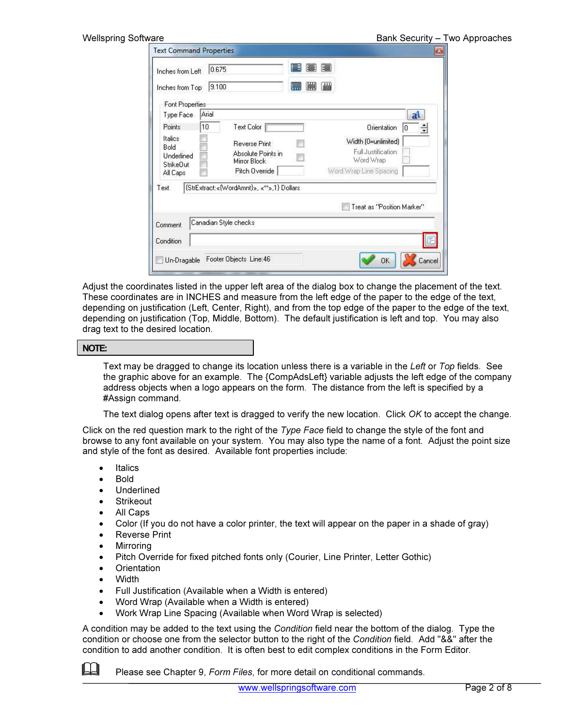| <b>Wellspring Software</b>                        |                                                     |                                  |                                                        | Bank Security - Two Approaches |
|---------------------------------------------------|-----------------------------------------------------|----------------------------------|--------------------------------------------------------|--------------------------------|
| <b>Text Command Properties</b>                    |                                                     |                                  |                                                        | $\mathbf{z}$                   |
| Inches from Left                                  | 0.675                                               | e<br>圍<br>E                      |                                                        |                                |
| Inches from Top                                   | 9.100                                               | 画<br><b>Glubb</b><br><b>UVUU</b> |                                                        |                                |
| Font Properties                                   |                                                     |                                  |                                                        |                                |
| Type Face                                         | Arial                                               |                                  | a <sup>1</sup>                                         |                                |
| Points                                            | 10<br>Text Color                                    |                                  | Orientation<br>킄<br>10                                 |                                |
| Italics<br>Bold<br><b>Underlined</b><br>StrikeDut | Reverse Print<br>Absolute Points in<br>Mirror Block |                                  | Width (0=unlimited)<br>Full Justification<br>Word Wrap |                                |
| All Caps                                          | Pitch Override                                      | Word Wrap Line Spacing           |                                                        |                                |
| Text                                              | {StrExtract: «{WordAmnt}», «**»,1} Dollars          |                                  |                                                        |                                |
|                                                   |                                                     |                                  | Treat as "Position Marker"                             |                                |
| Comment                                           | Canadian Style checks                               |                                  |                                                        |                                |
| Condition                                         |                                                     |                                  | E                                                      |                                |
| Un-Dragable                                       | Footer Objects Line: 46                             |                                  | Cancel<br><b>OK</b>                                    |                                |

Adjust the coordinates listed in the upper left area of the dialog box to change the placement of the text. These coordinates are in INCHES and measure from the left edge of the paper to the edge of the text, depending on justification (Left, Center, Right), and from the top edge of the paper to the edge of the text, depending on justification (Top, Middle, Bottom). The default justification is left and top. You may also drag text to the desired location.

#### NOTE:

Text may be dragged to change its location unless there is a variable in the Left or Top fields. See the graphic above for an example. The {CompAdsLeft} variable adjusts the left edge of the company address objects when a logo appears on the form. The distance from the left is specified by a #Assign command.

The text dialog opens after text is dragged to verify the new location. Click OK to accept the change.

Click on the red question mark to the right of the Type Face field to change the style of the font and browse to any font available on your system. You may also type the name of a font. Adjust the point size and style of the font as desired. Available font properties include:

- **Italics**
- Bold
- Underlined
- **Strikeout**
- All Caps
- Color (If you do not have a color printer, the text will appear on the paper in a shade of gray)
- Reverse Print
- Mirroring
- Pitch Override for fixed pitched fonts only (Courier, Line Printer, Letter Gothic)
- Orientation
- Width
- Full Justification (Available when a Width is entered)
- Word Wrap (Available when a Width is entered)
- Work Wrap Line Spacing (Available when Word Wrap is selected)

A condition may be added to the text using the *Condition* field near the bottom of the dialog. Type the condition or choose one from the selector button to the right of the Condition field. Add "&&" after the condition to add another condition. It is often best to edit complex conditions in the Form Editor.

**Please see Chapter 9, Form Files, for more detail on conditional commands.**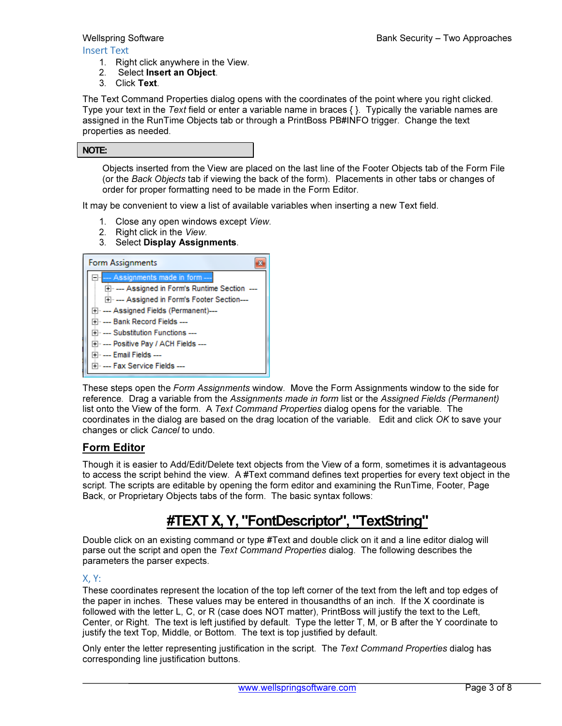#### Insert Text

- 1. Right click anywhere in the View.
- 2. Select Insert an Object.
- 3. Click Text.

The Text Command Properties dialog opens with the coordinates of the point where you right clicked. Type your text in the Text field or enter a variable name in braces  $\{\}$ . Typically the variable names are assigned in the RunTime Objects tab or through a PrintBoss PB#INFO trigger. Change the text properties as needed.

| NOTE: |
|-------|
|-------|

Objects inserted from the View are placed on the last line of the Footer Objects tab of the Form File (or the Back Objects tab if viewing the back of the form). Placements in other tabs or changes of order for proper formatting need to be made in the Form Editor.

It may be convenient to view a list of available variables when inserting a new Text field.

- 1. Close any open windows except View.
- 2. Right click in the View.
- 3. Select Display Assignments.

| Form Assignments                             |
|----------------------------------------------|
| --- Assignments made in form ---             |
| 田…--- Assigned in Form's Runtime Section --- |
| 田…--- Assigned in Form's Footer Section----  |
| 田…-- Assigned Fields (Permanent)---          |
| ⊞⊶— Bank Record Fields —                     |
| म⊹ --- Substitution Functions ---            |
| ⊞·· ---- Positive Pay / ACH Fields ----      |
| मे⊹ ---- Email Fields ----                   |
| ⊞ <sub>''</sub> --- Fax Service Fields ---   |

These steps open the Form Assignments window. Move the Form Assignments window to the side for reference. Drag a variable from the Assignments made in form list or the Assigned Fields (Permanent) list onto the View of the form. A Text Command Properties dialog opens for the variable. The coordinates in the dialog are based on the drag location of the variable. Edit and click OK to save your changes or click Cancel to undo.

## Form Editor

Though it is easier to Add/Edit/Delete text objects from the View of a form, sometimes it is advantageous to access the script behind the view. A #Text command defines text properties for every text object in the script. The scripts are editable by opening the form editor and examining the RunTime, Footer, Page Back, or Proprietary Objects tabs of the form. The basic syntax follows:

# #TEXT X, Y, "FontDescriptor", "TextString"

Double click on an existing command or type #Text and double click on it and a line editor dialog will parse out the script and open the Text Command Properties dialog. The following describes the parameters the parser expects.

#### X, Y:

These coordinates represent the location of the top left corner of the text from the left and top edges of the paper in inches. These values may be entered in thousandths of an inch. If the X coordinate is followed with the letter L, C, or R (case does NOT matter), PrintBoss will justify the text to the Left, Center, or Right. The text is left justified by default. Type the letter T, M, or B after the Y coordinate to justify the text Top, Middle, or Bottom. The text is top justified by default.

Only enter the letter representing justification in the script. The Text Command Properties dialog has corresponding line justification buttons.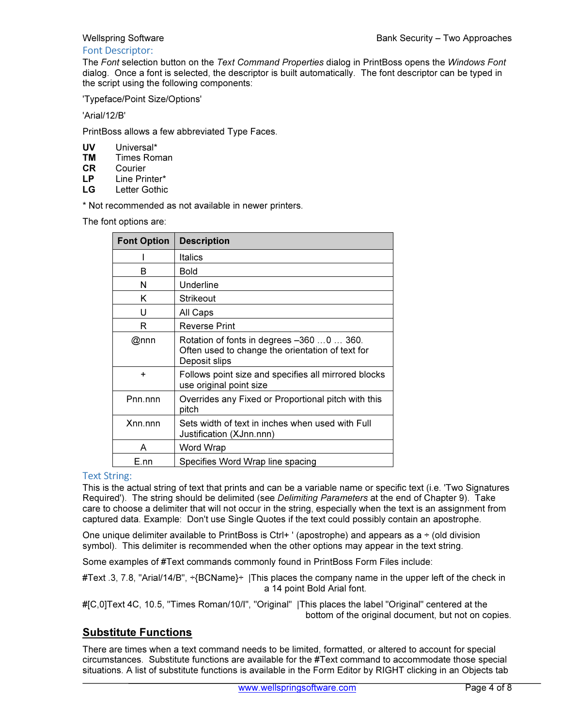#### Font Descriptor:

The Font selection button on the Text Command Properties dialog in PrintBoss opens the Windows Font dialog. Once a font is selected, the descriptor is built automatically. The font descriptor can be typed in the script using the following components:

'Typeface/Point Size/Options'

'Arial/12/B'

PrintBoss allows a few abbreviated Type Faces.

- **UV** Universal\*<br>**TM** Times Ron
- **TM** Times Roman<br>**CR** Courier
- Courier
- LP Line Printer\*<br>LG Letter Gothic
- Letter Gothic

\* Not recommended as not available in newer printers.

The font options are:

| <b>Font Option</b> | <b>Description</b>                                                                                             |
|--------------------|----------------------------------------------------------------------------------------------------------------|
|                    | <b>Italics</b>                                                                                                 |
| B                  | Bold                                                                                                           |
| N                  | Underline                                                                                                      |
| K                  | Strikeout                                                                                                      |
| U                  | All Caps                                                                                                       |
| R                  | <b>Reverse Print</b>                                                                                           |
| @nnn               | Rotation of fonts in degrees -360 0  360.<br>Often used to change the orientation of text for<br>Deposit slips |
| ÷                  | Follows point size and specifies all mirrored blocks<br>use original point size                                |
| Pnn.nnn            | Overrides any Fixed or Proportional pitch with this<br>pitch                                                   |
| Xnn.nnn            | Sets width of text in inches when used with Full<br>Justification (XJnn.nnn)                                   |
| A                  | Word Wrap                                                                                                      |
| E.nn               | Specifies Word Wrap line spacing                                                                               |

### Text String:

This is the actual string of text that prints and can be a variable name or specific text (i.e. 'Two Signatures Required'). The string should be delimited (see *Delimiting Parameters* at the end of Chapter 9). Take care to choose a delimiter that will not occur in the string, especially when the text is an assignment from captured data. Example: Don't use Single Quotes if the text could possibly contain an apostrophe.

One unique delimiter available to PrintBoss is Ctrl+  $\prime$  (apostrophe) and appears as a  $\div$  (old division symbol). This delimiter is recommended when the other options may appear in the text string.

Some examples of #Text commands commonly found in PrintBoss Form Files include:

#Text .3, 7.8, "Arial/14/B", ÷{BCName}÷ |This places the company name in the upper left of the check in a 14 point Bold Arial font.

#[C,0]Text 4C, 10.5, "Times Roman/10/I", "Original" |This places the label "Original" centered at the bottom of the original document, but not on copies.

## Substitute Functions

There are times when a text command needs to be limited, formatted, or altered to account for special circumstances. Substitute functions are available for the #Text command to accommodate those special situations. A list of substitute functions is available in the Form Editor by RIGHT clicking in an Objects tab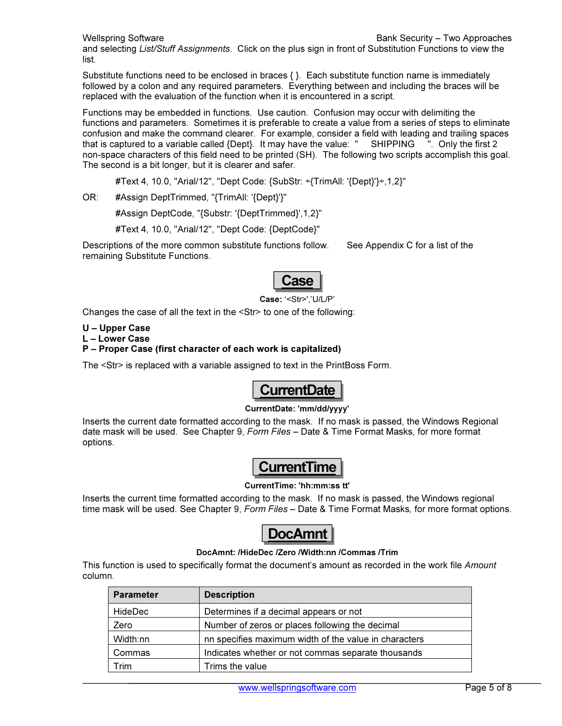and selecting List/Stuff Assignments. Click on the plus sign in front of Substitution Functions to view the list.

Substitute functions need to be enclosed in braces  $\{\}$ . Each substitute function name is immediately followed by a colon and any required parameters. Everything between and including the braces will be replaced with the evaluation of the function when it is encountered in a script.

Functions may be embedded in functions. Use caution. Confusion may occur with delimiting the functions and parameters. Sometimes it is preferable to create a value from a series of steps to eliminate confusion and make the command clearer. For example, consider a field with leading and trailing spaces that is captured to a variable called {Dept}. It may have the value: " SHIPPING ". Only the first 2 non-space characters of this field need to be printed (SH). The following two scripts accomplish this goal. The second is a bit longer, but it is clearer and safer.

#Text 4, 10.0, "Arial/12", "Dept Code: {SubStr: ÷{TrimAll: '{Dept}'}÷,1,2}"

OR: #Assign DeptTrimmed, "{TrimAll: '{Dept}'}"

#Assign DeptCode, "{Substr: '{DeptTrimmed}',1,2}"

#Text 4, 10.0, "Arial/12", "Dept Code: {DeptCode}"

Descriptions of the more common substitute functions follow. See Appendix C for a list of the remaining Substitute Functions.



Case: '<Str>','U/L/P'

Changes the case of all the text in the <Str> to one of the following:

U – Upper Case

L – Lower Case

#### P – Proper Case (first character of each work is capitalized)

The <Str> is replaced with a variable assigned to text in the PrintBoss Form.

# urrentDate

#### CurrentDate: 'mm/dd/yyyy'

Inserts the current date formatted according to the mask. If no mask is passed, the Windows Regional date mask will be used. See Chapter 9, Form Files - Date & Time Format Masks, for more format options.



#### CurrentTime: 'hh:mm:ss tt'

Inserts the current time formatted according to the mask. If no mask is passed, the Windows regional time mask will be used. See Chapter 9, Form Files - Date & Time Format Masks, for more format options.



#### DocAmnt: /HideDec /Zero /Width:nn /Commas /Trim

This function is used to specifically format the document's amount as recorded in the work file Amount column.

| <b>Parameter</b> | <b>Description</b>                                    |
|------------------|-------------------------------------------------------|
| <b>HideDec</b>   | Determines if a decimal appears or not                |
| Zero             | Number of zeros or places following the decimal       |
| Width:nn         | nn specifies maximum width of the value in characters |
| Commas           | Indicates whether or not commas separate thousands    |
| ™rim             | Trims the value                                       |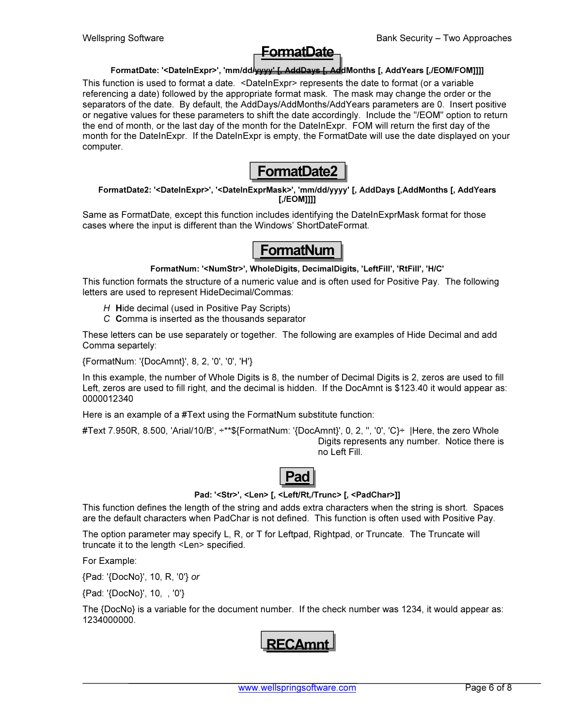# FormatDate

#### FormatDate: '<DateInExpr>', 'mm/dd/wyyy' [, AddDays [, AddMonths [, AddYears [,/EOM/FOM]]]]

This function is used to format a date. <DateInExpr> represents the date to format (or a variable referencing a date) followed by the appropriate format mask. The mask may change the order or the separators of the date. By default, the AddDays/AddMonths/AddYears parameters are 0. Insert positive or negative values for these parameters to shift the date accordingly. Include the "/EOM" option to return the end of month, or the last day of the month for the DateInExpr. FOM will return the first day of the month for the DateInExpr. If the DateInExpr is empty, the FormatDate will use the date displayed on your computer.



#### FormatDate2: '<DateInExpr>', '<DateInExprMask>', 'mm/dd/yyyy' [, AddDays [,AddMonths [, AddYears [,/EOM]]]]

Same as FormatDate, except this function includes identifying the DateInExprMask format for those cases where the input is different than the Windows' ShortDateFormat.

# FormatNum

FormatNum: '<NumStr>', WholeDigits, DecimalDigits, 'LeftFill', 'RtFill', 'H/C'

This function formats the structure of a numeric value and is often used for Positive Pay. The following letters are used to represent HideDecimal/Commas:

- H Hide decimal (used in Positive Pay Scripts)
- C Comma is inserted as the thousands separator

These letters can be use separately or together. The following are examples of Hide Decimal and add Comma separtely:

{FormatNum: '{DocAmnt}', 8, 2, '0', '0', 'H'}

In this example, the number of Whole Digits is 8, the number of Decimal Digits is 2, zeros are used to fill Left, zeros are used to fill right, and the decimal is hidden. If the DocAmnt is \$123.40 it would appear as: 0000012340

Here is an example of a #Text using the FormatNum substitute function:

#Text 7.950R, 8.500, 'Arial/10/B',  $\pm$ \*\*\${FormatNum: '{DocAmnt}', 0, 2, ", '0', 'C} $\pm$  |Here, the zero Whole Digits represents any number. Notice there is no Left Fill.



#### Pad: '<Str>', <Len> [, <Left/Rt,/Trunc> [, <PadChar>]]

This function defines the length of the string and adds extra characters when the string is short. Spaces are the default characters when PadChar is not defined. This function is often used with Positive Pay.

The option parameter may specify L, R, or T for Leftpad, Rightpad, or Truncate. The Truncate will truncate it to the length <Len> specified.

For Example:

{Pad: '{DocNo}', 10, R, '0'} or

{Pad: '{DocNo}', 10, , '0'}

The {DocNo} is a variable for the document number. If the check number was 1234, it would appear as: 1234000000.

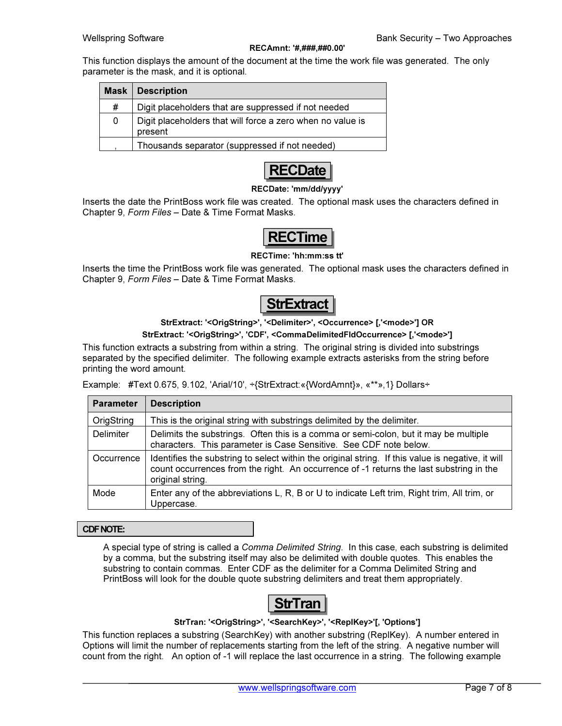#### RECAmnt: '#,###,##0.00'

This function displays the amount of the document at the time the work file was generated. The only parameter is the mask, and it is optional.

|   | <b>Mask   Description</b>                                             |
|---|-----------------------------------------------------------------------|
| # | Digit placeholders that are suppressed if not needed                  |
| 0 | Digit placeholders that will force a zero when no value is<br>present |
|   | Thousands separator (suppressed if not needed)                        |



#### RECDate: 'mm/dd/yyyy'

Inserts the date the PrintBoss work file was created. The optional mask uses the characters defined in Chapter 9, Form Files – Date & Time Format Masks.



#### RECTime: 'hh:mm:ss tt'

Inserts the time the PrintBoss work file was generated. The optional mask uses the characters defined in Chapter 9, Form Files – Date & Time Format Masks.



#### StrExtract: '<OrigString>', '<Delimiter>', <Occurrence> [,'<mode>'] OR

#### StrExtract: '<OrigString>', 'CDF', <CommaDelimitedFldOccurrence> [,'<mode>']

This function extracts a substring from within a string. The original string is divided into substrings separated by the specified delimiter. The following example extracts asterisks from the string before printing the word amount.

Example: #Text 0.675, 9.102, 'Arial/10', ÷{StrExtract:«{WordAmnt}», «\*\*»,1} Dollars÷

| <b>Parameter</b> | <b>Description</b>                                                                                                                                                                                               |
|------------------|------------------------------------------------------------------------------------------------------------------------------------------------------------------------------------------------------------------|
| OrigString       | This is the original string with substrings delimited by the delimiter.                                                                                                                                          |
| Delimiter        | Delimits the substrings. Often this is a comma or semi-colon, but it may be multiple<br>characters. This parameter is Case Sensitive. See CDF note below.                                                        |
| Occurrence       | Identifies the substring to select within the original string. If this value is negative, it will<br>count occurrences from the right. An occurrence of -1 returns the last substring in the<br>original string. |
| Mode             | Enter any of the abbreviations L, R, B or U to indicate Left trim, Right trim, All trim, or<br>Uppercase.                                                                                                        |

#### CDF NOTE:

A special type of string is called a Comma Delimited String. In this case, each substring is delimited by a comma, but the substring itself may also be delimited with double quotes. This enables the substring to contain commas. Enter CDF as the delimiter for a Comma Delimited String and PrintBoss will look for the double quote substring delimiters and treat them appropriately.



#### StrTran: '<OrigString>', '<SearchKey>', '<ReplKey>'[, 'Options']

This function replaces a substring (SearchKey) with another substring (ReplKey). A number entered in Options will limit the number of replacements starting from the left of the string. A negative number will count from the right. An option of -1 will replace the last occurrence in a string. The following example